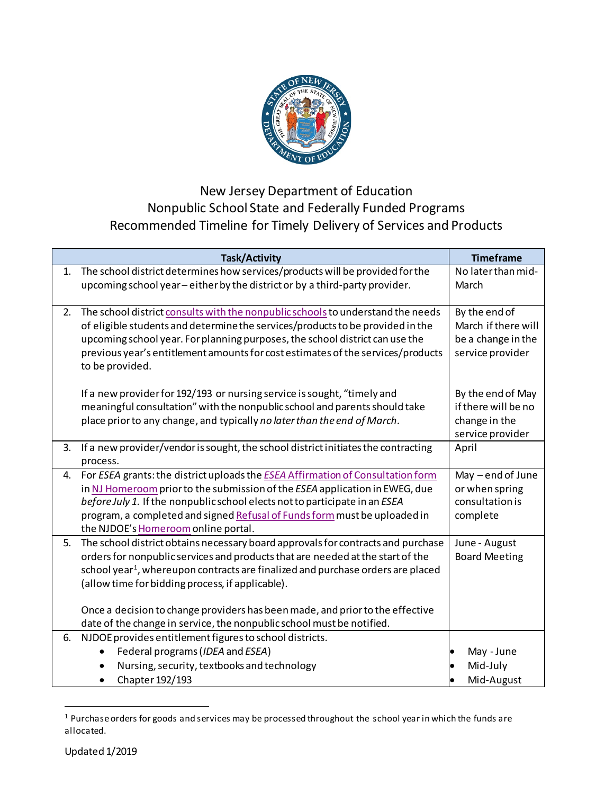

## New Jersey Department of Education Nonpublic School State and Federally Funded Programs Recommended Timeline for Timely Delivery of Services and Products

|    | <b>Task/Activity</b>                                                                                                                                                                                                                                                                                                                                                                                                                                                            | <b>Timeframe</b>                                                               |
|----|---------------------------------------------------------------------------------------------------------------------------------------------------------------------------------------------------------------------------------------------------------------------------------------------------------------------------------------------------------------------------------------------------------------------------------------------------------------------------------|--------------------------------------------------------------------------------|
| 1. | The school district determines how services/products will be provided for the<br>upcoming school year - either by the district or by a third-party provider.                                                                                                                                                                                                                                                                                                                    | No later than mid-<br>March                                                    |
| 2. | The school district consults with the nonpublic schools to understand the needs<br>of eligible students and determine the services/products to be provided in the<br>upcoming school year. For planning purposes, the school district can use the<br>previous year's entitlement amounts for cost estimates of the services/products<br>to be provided.                                                                                                                         | By the end of<br>March if there will<br>be a change in the<br>service provider |
|    | If a new provider for 192/193 or nursing service is sought, "timely and<br>meaningful consultation" with the nonpublic school and parents should take<br>place prior to any change, and typically no later than the end of March.                                                                                                                                                                                                                                               | By the end of May<br>if there will be no<br>change in the<br>service provider  |
| 3. | If a new provider/vendor is sought, the school district initiates the contracting<br>process.                                                                                                                                                                                                                                                                                                                                                                                   | April                                                                          |
| 4. | For ESEA grants: the district uploads the ESEA Affirmation of Consultation form<br>in NJ Homeroom prior to the submission of the ESEA application in EWEG, due<br>before July 1. If the nonpublic school elects not to participate in an ESEA<br>program, a completed and signed Refusal of Funds form must be uploaded in<br>the NJDOE's Homeroom online portal.                                                                                                               | May - end of June<br>or when spring<br>consultation is<br>complete             |
| 5. | The school district obtains necessary board approvals for contracts and purchase<br>orders for nonpublic services and products that are needed at the start of the<br>school year <sup>1</sup> , whereupon contracts are finalized and purchase orders are placed<br>(allow time for bidding process, if applicable).<br>Once a decision to change providers has been made, and prior to the effective<br>date of the change in service, the nonpublic school must be notified. | June - August<br><b>Board Meeting</b>                                          |
| 6. | NJDOE provides entitlement figures to school districts.                                                                                                                                                                                                                                                                                                                                                                                                                         |                                                                                |
|    | Federal programs (IDEA and ESEA)<br>$\bullet$                                                                                                                                                                                                                                                                                                                                                                                                                                   | May - June                                                                     |
|    | Nursing, security, textbooks and technology                                                                                                                                                                                                                                                                                                                                                                                                                                     | Mid-July                                                                       |
|    | Chapter 192/193<br>$\bullet$                                                                                                                                                                                                                                                                                                                                                                                                                                                    | Mid-August                                                                     |

<span id="page-0-0"></span> <sup>1</sup> Purchase orders for goods and services may be processed throughout the school year in which the funds are allocated.